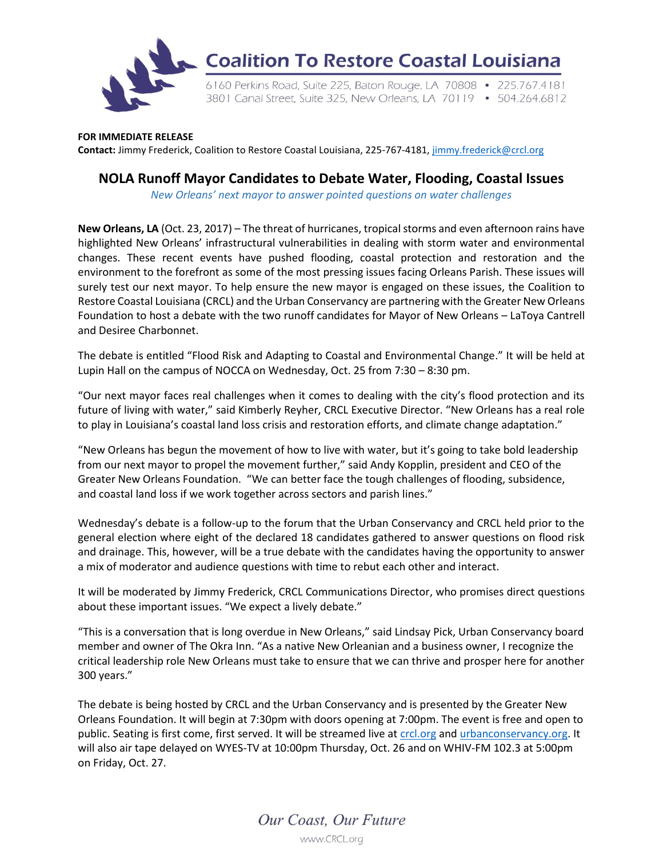

## **FOR IMMEDIATE RELEASE**

**Contact:** Jimmy Frederick, Coalition to Restore Coastal Louisiana, 225-767-4181, [jimmy.frederick@crcl.org](mailto:jimmy.frederick@crcl.org)

## **NOLA Runoff Mayor Candidates to Debate Water, Flooding, Coastal Issues**

*New Orleans' next mayor to answer pointed questions on water challenges*

**New Orleans, LA** (Oct. 23, 2017) – The threat of hurricanes, tropical storms and even afternoon rains have highlighted New Orleans' infrastructural vulnerabilities in dealing with storm water and environmental changes. These recent events have pushed flooding, coastal protection and restoration and the environment to the forefront as some of the most pressing issues facing Orleans Parish. These issues will surely test our next mayor. To help ensure the new mayor is engaged on these issues, the Coalition to Restore Coastal Louisiana (CRCL) and the Urban Conservancy are partnering with the Greater New Orleans Foundation to host a debate with the two runoff candidates for Mayor of New Orleans – LaToya Cantrell and Desiree Charbonnet.

The debate is entitled "Flood Risk and Adapting to Coastal and Environmental Change." It will be held at Lupin Hall on the campus of NOCCA on Wednesday, Oct. 25 from 7:30 – 8:30 pm.

"Our next mayor faces real challenges when it comes to dealing with the city's flood protection and its future of living with water," said Kimberly Reyher, CRCL Executive Director. "New Orleans has a real role to play in Louisiana's coastal land loss crisis and restoration efforts, and climate change adaptation."

"New Orleans has begun the movement of how to live with water, but it's going to take bold leadership from our next mayor to propel the movement further," said Andy Kopplin, president and CEO of the Greater New Orleans Foundation. "We can better face the tough challenges of flooding, subsidence, and coastal land loss if we work together across sectors and parish lines."

Wednesday's debate is a follow-up to the forum that the Urban Conservancy and CRCL held prior to the general election where eight of the declared 18 candidates gathered to answer questions on flood risk and drainage. This, however, will be a true debate with the candidates having the opportunity to answer a mix of moderator and audience questions with time to rebut each other and interact.

It will be moderated by Jimmy Frederick, CRCL Communications Director, who promises direct questions about these important issues. "We expect a lively debate."

"This is a conversation that is long overdue in New Orleans," said Lindsay Pick, Urban Conservancy board member and owner of The Okra Inn. "As a native New Orleanian and a business owner, I recognize the critical leadership role New Orleans must take to ensure that we can thrive and prosper here for another 300 years."

The debate is being hosted by CRCL and the Urban Conservancy and is presented by the Greater New Orleans Foundation. It will begin at 7:30pm with doors opening at 7:00pm. The event is free and open to public. Seating is first come, first served. It will be streamed live a[t crcl.org](https://crcl.org/) an[d urbanconservancy.org.](http://www.urbanconservancy.org/) It will also air tape delayed on WYES-TV at 10:00pm Thursday, Oct. 26 and on WHIV-FM 102.3 at 5:00pm on Friday, Oct. 27.

> Our Coast, Our Future www.CRCL.org